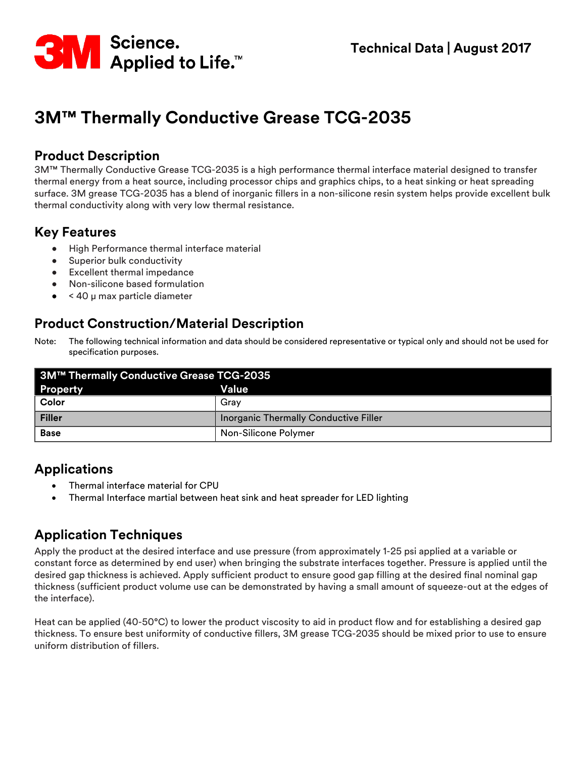

# **3M™ Thermally Conductive Grease TCG-2035**

#### **Product Description**

3M™ Thermally Conductive Grease TCG-2035 is a high performance thermal interface material designed to transfer thermal energy from a heat source, including processor chips and graphics chips, to a heat sinking or heat spreading surface. 3M grease TCG-2035 has a blend of inorganic fillers in a non-silicone resin system helps provide excellent bulk thermal conductivity along with very low thermal resistance.

# **Key Features**

- High Performance thermal interface material
- Superior bulk conductivity
- Excellent thermal impedance
- Non-silicone based formulation
- < 40 μ max particle diameter

# **Product Construction/Material Description**

| Note: | The following technical information and data should be considered representative or typical only and should not be used for |
|-------|-----------------------------------------------------------------------------------------------------------------------------|
|       | specification purposes.                                                                                                     |

| 3M™ Thermally Conductive Grease TCG-2035 |                                       |  |  |  |
|------------------------------------------|---------------------------------------|--|--|--|
| <b>Property</b>                          | Value                                 |  |  |  |
| Color                                    | Grav                                  |  |  |  |
| Filler                                   | Inorganic Thermally Conductive Filler |  |  |  |
| <b>Base</b>                              | Non-Silicone Polymer                  |  |  |  |

# **Applications**

- Thermal interface material for CPU
- Thermal Interface martial between heat sink and heat spreader for LED lighting

# **Application Techniques**

Apply the product at the desired interface and use pressure (from approximately 1-25 psi applied at a variable or constant force as determined by end user) when bringing the substrate interfaces together. Pressure is applied until the desired gap thickness is achieved. Apply sufficient product to ensure good gap filling at the desired final nominal gap thickness (sufficient product volume use can be demonstrated by having a small amount of squeeze-out at the edges of the interface).

Heat can be applied (40-50°C) to lower the product viscosity to aid in product flow and for establishing a desired gap thickness. To ensure best uniformity of conductive fillers, 3M grease TCG-2035 should be mixed prior to use to ensure uniform distribution of fillers.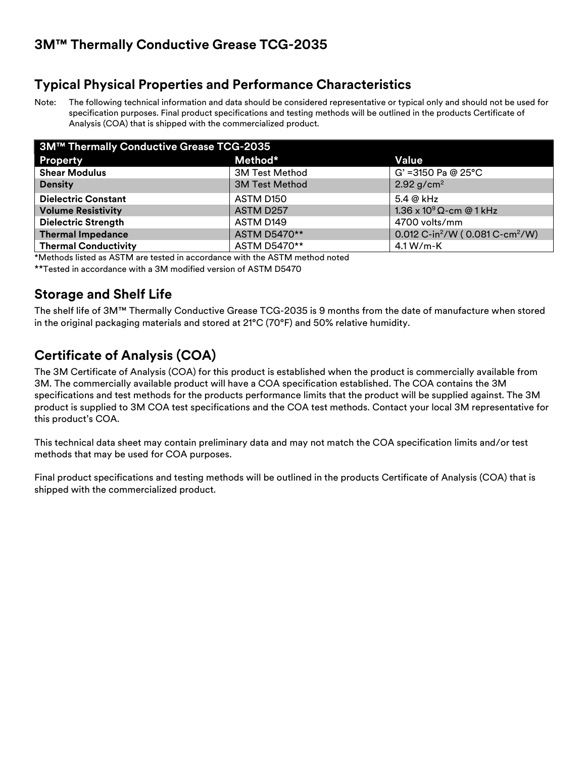# **Typical Physical Properties and Performance Characteristics**

Note: The following technical information and data should be considered representative or typical only and should not be used for specification purposes. Final product specifications and testing methods will be outlined in the products Certificate of Analysis (COA) that is shipped with the commercialized product.

| 3M™ Thermally Conductive Grease TCG-2035 |                       |                                                         |  |  |
|------------------------------------------|-----------------------|---------------------------------------------------------|--|--|
| Property                                 | Method*               | Value                                                   |  |  |
| <b>Shear Modulus</b>                     | <b>3M Test Method</b> | $G' = 3150$ Pa @ 25°C                                   |  |  |
| <b>Density</b>                           | <b>3M Test Method</b> | 2.92 $g/cm^2$                                           |  |  |
| <b>Dielectric Constant</b>               | ASTM D <sub>150</sub> | $5.4 \omega$ kHz                                        |  |  |
| <b>Volume Resistivity</b>                | ASTM D257             | 1.36 x $10^9$ $\Omega$ -cm @ 1 kHz                      |  |  |
| <b>Dielectric Strength</b>               | ASTM D149             | 4700 volts/mm                                           |  |  |
| <b>Thermal Impedance</b>                 | ASTM D5470**          | 0.012 C-in <sup>2</sup> /W (0.081 C-cm <sup>2</sup> /W) |  |  |
| <b>Thermal Conductivity</b>              | ASTM D5470**          | $4.1 W/m-K$                                             |  |  |

\*Methods listed as ASTM are tested in accordance with the ASTM method noted

\*\*Tested in accordance with a 3M modified version of ASTM D5470

### **Storage and Shelf Life**

The shelf life of 3M™ Thermally Conductive Grease TCG-2035 is 9 months from the date of manufacture when stored in the original packaging materials and stored at 21°C (70°F) and 50% relative humidity.

# **Certificate of Analysis (COA)**

The 3M Certificate of Analysis (COA) for this product is established when the product is commercially available from 3M. The commercially available product will have a COA specification established. The COA contains the 3M specifications and test methods for the products performance limits that the product will be supplied against. The 3M product is supplied to 3M COA test specifications and the COA test methods. Contact your local 3M representative for this product's COA.

This technical data sheet may contain preliminary data and may not match the COA specification limits and/or test methods that may be used for COA purposes.

Final product specifications and testing methods will be outlined in the products Certificate of Analysis (COA) that is shipped with the commercialized product.